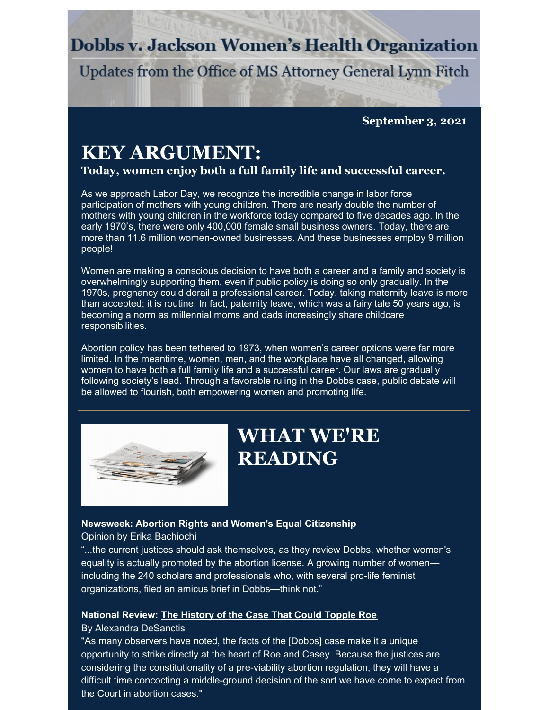### **Dobbs v. Jackson Women's Health Organization**

Updates from the Office of MS Attorney General Lynn Fitch

**September 3, 2021**

## **KEY ARGUMENT:**

**Today, women enjoy both a full family life and successful career.**

As we approach Labor Day, we recognize the incredible change in labor force participation of mothers with young children. There are nearly double the number of mothers with young children in the workforce today compared to five decades ago. In the early 1970's, there were only 400,000 female small business owners. Today, there are more than 11.6 million women-owned businesses. And these businesses employ 9 million people!

Women are making a conscious decision to have both a career and a family and society is overwhelmingly supporting them, even if public policy is doing so only gradually. In the 1970s, pregnancy could derail a professional career. Today, taking maternity leave is more than accepted; it is routine. In fact, paternity leave, which was a fairy tale 50 years ago, is becoming a norm as millennial moms and dads increasingly share childcare responsibilities.

Abortion policy has been tethered to 1973, when women's career options were far more limited. In the meantime, women, men, and the workplace have all changed, allowing women to have both a full family life and a successful career. Our laws are gradually following society's lead. Through a favorable ruling in the Dobbs case, public debate will be allowed to flourish, both empowering women and promoting life.



## **WHAT WE'RE READING**

### **Newsweek: Abortion Rights and Women's Equal [Citizenship](https://www.newsweek.com/abortion-rights-womens-equal-citizenship-opinion-1624591)**

Opinion by Erika Bachiochi

"...the current justices should ask themselves, as they review Dobbs, whether women's equality is actually promoted by the abortion license. A growing number of women including the 240 scholars and professionals who, with several pro-life feminist organizations, filed an amicus brief in Dobbs—think not."

### **National Review: The [History](https://www.nationalreview.com/2021/08/the-history-of-the-case-that-could-topple-roe/) of the Case That Could Topple Roe**

#### By Alexandra DeSanctis

"As many observers have noted, the facts of the [Dobbs] case make it a unique opportunity to strike directly at the heart of Roe and Casey. Because the justices are considering the constitutionality of a pre-viability abortion regulation, they will have a difficult time concocting a middle-ground decision of the sort we have come to expect from the Court in abortion cases."